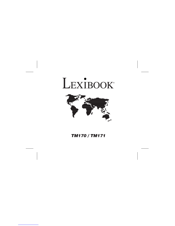# LEXIBOOK®



TM170 / TM171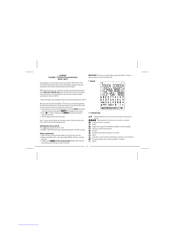#### **LEXIBOOK® TouchMan® 170 Series Personal Assistants TM170 / TM171**

Congratulations on the purchase of your the Lexibook® TM170 series PDA. This new PDA generation include many useful features designed to ease the organisation of your daily schedule and personal information.

With Internet access you can connect to Lexibook's exclusive Internet services site at **https//my.lexibook.com** which provides both useful and interesting<br>information which can be downloaded to your personal computer and then<br>synchronised\* with your TM170.

\*Some information may not always be able to be synchronised with your TM170.

Before you start using the TouchMan® 170 Series, you must remove carefully<br>the static label protecting the LCD display and pull out the plastic battery tab at<br>the rear of the unit. After you have done this reset the unit :

- 
- (just a few seconds).
- 3. Then the display shows local time screen.

Note : Doing a reset will delete all information stored in the unit as well as the secret code if unit has been used previously.

## **Switching the unit on and off.**

Press ⓒ key to switch the unit on or off.<br>TouchMan® TM170 PDA will power-off automatically after 5 minutes if unused.

- **Battery replacement** 1. Switch off your unit and pull open battery cover at the rear of the unit. 2. Replace used battery with a new, high quality CR2032 cell with (+) polarity
- facing up. 3. Display shows **RESET?**. **Press any key except** ENTER to NOT reset the
- unit and keep your information stored in memory.

**IMPORTANT !** Be sure to complete battery replacement within 1 minute in order to keep your stored information safe.

# **1. Keypad**

| NAME |                                         |                |           |   |   |       |            |
|------|-----------------------------------------|----------------|-----------|---|---|-------|------------|
| ₫    |                                         |                |           |   |   |       |            |
|      |                                         |                |           |   |   |       |            |
| CAPS |                                         |                |           |   |   |       |            |
| u    | E                                       | R              |           |   | U | U     | P          |
| A    | S.<br>D                                 |                | F G       | Н |   |       | <b>SYM</b> |
|      |                                         | $\Sigma$ X C V |           |   | В | M     | EDIT       |
|      | $\blacktriangle \blacktriangledown$ ins |                | SPACE CAP |   | @ |       | DEL        |
|      | 2nd $\odot$                             | B              | 旧         | ○ | ▣ | ENTER |            |

# **1.1 Function keys**



- : Moving buttons to move cursor to next line or character.
- 
- : Confirm an entry or a selection. : On/Off
- $2nd$ : Toggle key to toggle from alphabetical keypad to numerical keypad.
- $\odot$  : Home time, World time and Alarm.
- : Contacts
- : Scheduler mode, Memo mode and To do mode. 目
	-
- : Games : Calculator, Currency and Euro (fixed rates) conversions, unit conversion.
- : PC synchronisation with Lexibook SyncMan® 2 software.

 $\widetilde{\wedge \vee}$ : Search.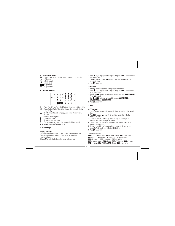# **1.2 Alphabetical keypad**

: Symbols and special characters (refer to appendix 1 for table list). : Edit record.  $\overline{E}$ 



## **2.2 Numerical keypad**

| WENU |  |         |  |                           | <b><i>M</i></b> CEM % © 6 © X |  |
|------|--|---------|--|---------------------------|-------------------------------|--|
|      |  |         |  |                           | <b>M ± 0 0 0 -</b>            |  |
|      |  | SPACE 0 |  | $\mathbf{u} = \mathbf{u}$ |                               |  |

- $\frac{12}{24}$  DST : Toggle from 12-hour format (AM/PM) to 24-hour format (default setting). : Enable Daylight Saving Time. When Summer time is on, # is displayed before the day.
- MENU : Open Menu function list : Language, Date Format, Memory check, PC Sync.
- $\pmb{J}$
- : Enable or disable key tone. : Enable secret mode.
- 人工
- : Clear All in Calculator mode. : ESC key to cancel operation. Clear entry key in Calculator mode.
- IN. M. M. Memory keys in Calculator mode.

### **2. User settings**

**Display language**<br>7 languages are available : English, Français (French), Deutsch (German),<br>Español (Spanish), Italiano (Italian), Português (Portuguese) and<br>Nederlands (Dutch).

1. Press  $\odot$  once to display home time ( $*$ symbol is shown).

- 2. Press key to display numerical keypad then press **MENU**. **LANGUAGE ?**
- option is displayed.<br>3. Press **LITE** and use  $\bullet$  and  $\bullet$  keys to scroll through language list and
- select desired one.<br>4. Press **ENTER** to confirm.
- 

#### **Date format**

- 1. Press ↔ once to display home time (  $\ast$  symbol is shown).<br>2. Press **2nd** key to display numerical keypad then press **MENU. LANGUAGE ?**
- option is displayed.<br>3. Use **@** and **@** to scroll through menu option list and select **DATE FORMAT**.
- 
- Press **till:** to confirm.<br>4. Use **@** and **©** to display available date formats : **YYYY/MM/DD**,
- **MM/DD/YYYY** and **DD/MM/YYYY**.
- 5. Press **ENTER** to confirm.

# **3. Time**

# **3.1 Home time**

- 1. Press  $\odot$  once. City name abbreviation is shown on first line with  $*$  symbol first.
- 2. Press **EDIT** and use  $\triangle$  and  $\nabla$  to scroll through city list and select matching time zone.
- 3. If you wish, you can Tap directly your city name (max. 6 letters) when<br>matching time zone is displayed. Ex : LEEDS.<br>4. Press to move cursor to 2nd line and edit date. Numerical keypad is<br>automatically displayed.
- 
- 5. Tap current day date then Tap current time. If you are in 12-hour format,<br>press AM/PM to toggle from AM (A) to PM (P) time.<br>6. Press **till?** to confirm.
	-

- 
- 
- 
- *Available Time zones*<br>**PAR** = Paris ; **LON** = London ; **AZO** = Azores Islands ; RIO = Rio de Janeiro ;<br>**CCS** = Caracas ; NYC = New York ; CHI = Chicago ; DEN = Denver ;<br>LAX = Los Angeles ; ANC = Anchorage ; HNL = Honolulu
- **SYD** = Sydney : **ADL** = Adelaïde ; **TYO** = Tokyo ; **HKG** = Hong Kong ;
- GB 2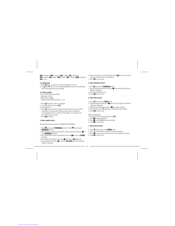**BKK** = Bangkok ; **RGN** = Yangon ; **DAC** = Dhaka ; **DEL** = New Delhi ; **KHI** = Karachi ; **KBL** = Kabul ; **DXB** = Dubai ; **THR** = Tehran ; **MOW** = Moscow; **CAI** = Cairo.

**3.2 World time**

- 
- 1. Press  $\odot$ twice.  $\ast$  symbol is no longer displayed on first line.<br>2. Use  $\blacktriangle$  and  $\blacktriangledown$  keys to scroll through available time zones. Hours and Dates will be automatically set up accordingly.

- **3.3 Alarm setting** Your unit offers three alarm modes :
- Daily alarm : (((•)))<br>- Hourly chime : (((ക)))
- Scheduler alarm (event reminder) : ((( / )))
- 1. Press  $\odot$  three times. Alarm is displayed.
- 2. To change alarm time, press **EDIT**. 3. Tap desired time.

- 4. Press  $\bigodot$  key several time to enable desired alarm modes: hourly chime, alarm clock or event reminder. When an alarm mode is enabled the corresponding LCD icon is shown on the display. You can enable one, two or all
- 5. Press **ENTER** to confirm.

## **4. New contact record**

There are two contact directories, PERSONAL and BUSINESS.

- 
- 1. Press **23** once to open **PERSONAL** directory. Press **23** twice to open<br>**BUSINESS** directory.<br>2. Once directory is opened, tap directly the contact name and then press to<br>go to **ADDRESS** data field.
- 3. Tap contact address (max. 36 characters) then press key to go to **E-MAIL** data field.
- 
- 4. Tap contact e-mail address then press  $\bigodot$  key to go to **URL** data field.<br>5. Tap contact URL then press  $\bigodot$  to move to **TEL./FAX** data field. Numercial keypad is displayed.
- 6. Tap in first number (on second line) then press  $\bigcirc$  key to Tap in second number on third line (max. 36 characters).<br>7. Press **ENTR** to save record.
- 

# **5. New scheduler record**

- 
- 1. Press III once to open **SCHEDULE** mode.<br>2. Tap the meeting description then press key to enter date. Numercial<br>keypad is displayed.
- 
- 3. Tap meeting's date and time.<br>4. Press **ENTER** to save record.

## **6. New ToDo record**

- 1. Press l昌 twice to open **TO-DO** mode.<br>2. Tap task description then press ●key to set up priority level, between 1
- (highest) to 9 (lowest).
- 3. Tap desired level number then press key to enter due date.<br>4. Tap due date and time. (pending) is shown before the due date.<br>5. Press t**Mt?** to save record.

# Mark completed task

- 
- 
- 1. Display desired ToDo record then press **EDIT**.<br>2. Press to display PRIORITY.<br>3. Press to remove **P** letter before due date.<br>4. Press till to save record.

## **7. New memo record**

- 
- 
- 1. Press 1目 three times to open **MEMO** mode.<br>2. Tap in memo description on first line (max. 36 characters).<br>3. Press to go to second and third lines to enter numbers, if desired.
- 4. Press till to save record.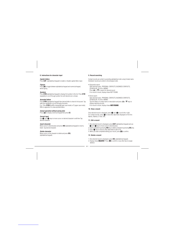# **8. Instructions for character input**

**Capital letters** Press **CAP.** (alphabetical keypad) to enable or disable capital letters input.

*Figures*<br>Press **2nd** to toggle between alphabetical keypad and numerical keypad,<br>whilst typing.

#### **Symbols**

Press **SYM** (alphabetical keypad) to display first symbol in the list. Press **SYM** repeatedly to scroll through symbol list until desired one is shown.

#### **Accented letters**

Press **SYM** (alphabetical keypad) then desired letter to show its first accent. Tap letter key repeatedly to scroll through all accents. E.g.: Press **SYM** then **E** to display **é** (lower case mode) or É (upper case mode). Refer to appendix 2 to view accented letters.

**Cancel operation without saving data**

Press 2nd to display numerical keypad then press CE.

# **Correct input**

Use  $\bullet$  and  $\bullet$  keys to move cursor on desired character to edit then Tap desired character ed character

### **Insert character**

Move cursor to desired place and press **INS** (alphabetical keypad) to insert a blank. Tap desired character.

## **Delete character**

Move cursor on the character to delete and press **DEL** (alphabetical keypad).

# **9. Record searching**

Contact records are sorted in ascending alphabetical order using Contact name. Scheduler records are sorted in chronological order.

## • Sequential search

Open desired mode : PERSONAL CONTACTS, BUSINESS CONTACTS,<br>SCHEDULER, TO-DO or MEMO.<br>Press **A** or ∀ to search for desired record.<br>If no record is found, display shows NOT FOUND.

## • Direct search

Open desired mode : PERSONAL CONTACTS, BUSINESS CONTACTS, SCHEDULER, TO-DO or MEMO. Tap first letters of contact name or description and press  $\bigwedge$  or  $\bigvee$  keys to<br>display matching records.

If no record is found, display shows **NOT FOUND**.

## **10. View a record**

Once desired record is displayed, press ● and ● to scroll left or right.<br>For contact records, press ● to view other data fields displayed on first line :<br>Names, Address, E-mail, URL.

# **11. Edit a record**

1. Once desired record is displayed, press **EDIT** (alphabetical keypad) and use<br>  $\bullet$  and  $\bullet$  keys to move cursor to desired place.<br>
2. Insert a character by pressing **IDEL** key.<br>
3. Press  $\bullet$  key to move to other data

## **12. Delete a record**

1. Once desired record is displayed, press **DEL** (alphabetical keypad).<br>2. Display shows **DELETE?**. Press **tiff?** to confirm or any other key to escape deletion.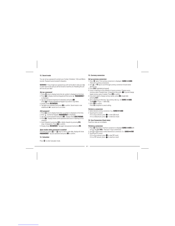## **13. Secret mode**

You can set up a password to protect your Contact, Scheduler, ToDo and Memo records. Password cannot exceed 6 characters.

**WARNNG !** If you forget your password you will not be able to view your data or enter new records and you will be forced to reset the unit. Resetting the unit will lose all your data !

#### **Set up a password**

- 1. Press  $\odot$  once to display home time (\* symbol is displayed on first line).<br>2. Press **?nd** to display numerical keypad and there press ↓. **PASSWORD ?** is displayed.
- 3. Tap your password (maximum 6 characters) and press **NTR**.
- 
- Press **2nd** to display alphabetical keypad if you wish to Tap letters.<br>4. Display shows **RE-ENTER !**.<br>5. Tap again your password and press **BIB:** to confirm. Secret mode is now<br>enabled and **9--** secret icon is on screen.

- *Edit password*<br>1. Press ලூonce to display home time ( \* symbol is displayed on first line).<br>2. Press ↓ (numerical keypad). PASSWORD ? is displayed.<br>3. Tap your current password and press BM3 . Display shows **EDIT PSSWD**.
- 
- 
- 4. Press MTR . Display shows current password and cursor is flashing on first character. 5. Insert character by pressing **INS** or delete character by pressing **DEL**
- 
- (max. 6 characters). Press **ENTR** to confirm.<br>6. Display shows **RE-ENTER !**. Tap again new password and press **ENTR** .

#### **Open modes when password is enabled**

First time you press **@** or l冒 keys to view or enter data, display will show<br>**PASSWORD?**. Tap your password and press tift?t to confirm.

# **14. Calculator**

Press  $\blacksquare$  to enter Calculator mode.

# **15. Currency conversion**

- **Set up currency conversion**
- 1. Press twice. First currency conversion is displayed : **EURO USD**. There are 5 currency conversions. 2. Use or keys to scroll through currency conversion list and select
- - desired one.
	-
	- 3. Press **EDIT** (alphabetical keypad). 4. Cursor is flashing on first character of source currency. Change source currency name if needed (max. 4 characters) then press  $\bullet$  to go and change<br>target currency name if needed. Press till it to confirm.
- 5. If you don't need to change currency names, press straight after pressing **EDIT**.
- 6. Zero is flashing on third line. Tap currency rate (e.g.: for **EURO USD**, Tap **1.089** if 1 Euro = 1.089 US\$).
- 7. Press till it to confirm. Press **CE** at anytime to cancel setting.
	-

# **Perform a conversion**

- 1. Select desired currency conversion. E.g.: **EURO USD** 2. Tap amount to convert. If it is a Euro amount, press to view US\$ result.
- If it is a US\$ amount, press  $\bullet$  to view Euro result.

#### **16. Euro Conversion (fixed rates)** Fixed Euro rates are not editable.

# **Perform a conversion**

- 1. Press **iii** three times. First Euro conversion is displayed **EURO —> ATS** with<br>its Euro rate **13.7603**. There are 11 Euro conversions.
- 2. Use (▲) or (▼) arrows to select desired Euro conversion. Ex : **EURO → FRF**<br>3. Tap amount to convert.
- If it is a Euro amount, press  $\bullet$  to view FRF result.<br>If it is a FRF amount, press  $\bullet$  to view Euro result.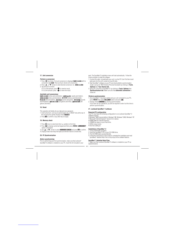# **17. Unit conversion**

## **Perform a conversion**

1. Press 画 four times. First unit conversion is displayed **linch — cm** with its<br>conversion rate **2.54**. There are 8 pre-stored unit conversions.<br>2. Press **A** or **V** arrows to select desired conversion. Ex : **mile — km**<br>3.

If it is a mile amount, press  $\bullet$  to view km result.<br>If it is a km amount, press  $\bullet$  to view mile result.

# **Available unit conversions:**

**inch**  $\rightarrow$  **cm** (inches and centimeters); **yard**  $\rightarrow$  **m** | (yards and meters);<br>**mile**  $\rightarrow$  **km** (miles and kilometers); **C**  $\rightarrow$  **F** (Celsius and Fahrenheit);<br>**ft**  $\rightarrow$  **m** (feet and meters); **pz**  $\rightarrow$  **g** (quonces and gallons and liters)

#### **18. Reset**

This operation will delete all your data and your password. 1. Insert a blunt pin, such as an opened paper clip, in RESET hole at the rear of the unit and press gently Display shows **RESET?** 2. Press HTER to confirm or any other key to escape.

# **19. Memory check**

1. Press  $\heartsuit$  once to view home time (  $*$  symbol on first line).<br>2. Press **2nd** to display numerical keypad and there press **MENU. LANGUAGE?** 

- option is displayed. 3. Use  $\triangle$  or  $\triangledown$  arrows to select **MEMORY CHECK** and press MTM to confirm.
- 4. Display shows how many free bytes are left then returns to home time.

# **20. PC Synchronisation**

*Before synchronising*<br>Prior to performing your first synchronisation, make sure that Lexibook®<br>SyncMan®2 software is installed on your PC. Insert the CD included in your

pack. The SyncMan®2 installation menu will start automatically. Follow the

- screen prompts to install the software. 1. Connect the cable, included with your unit, to a free PC Com Port then insert cable jack into the unit's socket (on top left side).. 2. Start SyncMan® software on your PC and check whether synchronisation
- 
- mode is set up for TM170 Series Personal Assistants by clicking on **Tools,<br>Options** then **Your Device tab.**<br>3. Set up PC Com Port in SyncMan®2 by clicking on **Tools, Options** then<br>**Syrnchronisation tab**. Make sure also tha ticked off.

#### **Perform synchronization**

- 1. Once SyncMan® 2 has been started and your unit connected to your PC, press **MENU** then select PC LINK? option and press **INTA**.<br>2. Display shows LINKING **…** During synchronization.
- If you have set up a password, you will be required to enter it at this time to perform synchronization.

#### **21. Lexibook SyncMan® 2 software**

## **Required PC configuration**

- Your PC must have the following configuration to run Lexibook SyncMan® 2
- software properly:<br>• Windows® 98SE (second edition), Windows® ME, Windows® 2000, Windows® XP.<br>• Microsoft® Internet Explorer® version 5.0 or above.<br>• 61MB RAM (for Internet Explorer).<br>• 100MB free space on your hard drive.
- 
- 
- SVGA colour screen.
- One free COM port.

GB 6

#### **Installation of SyncMan® 2**

- 
- 
- 1. Close all Windows programs.<br>2. Insert IIe SyncMan®2 (Ob in your CD-ROM drive.<br>3. The CD-ROM starts up automatically.<br>4. Follow the instructions on the screen to complete the installation and read<br>- SyncMan2® detailed He
- 

**SyncMan® 2 detailed Help Files** 1. Make sure that Lexibook SyncMan®2 software is installed on your PC as explained above.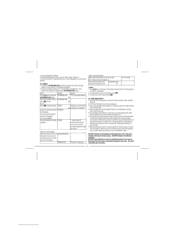2. Launch SyncMan®2 software.<br>3. On the left Main Menu choices, click on "Help" (under "Options").<br>4. The html document " Syncman2 help files " will be displayed in a new browser<br>window.

22. GAMES<br>1. The game of KEYBOARD WIZ with 20 levels (from 01 to 20) in prompt<br>5 speed (1 level risen per 12 characters prompted).<br>2. It can be prompted numbers (0, 1~9) and letters of alphabet (A ~ Z) at<br>" random. An exam

| Display             |                                         | Remark                                                                                                                   |
|---------------------|-----------------------------------------|--------------------------------------------------------------------------------------------------------------------------|
|                     |                                         | *The 1st number flashing                                                                                                 |
|                     | 01                                      |                                                                                                                          |
| <b>KEYBOARD WIZ</b> |                                         |                                                                                                                          |
|                     | 05                                      |                                                                                                                          |
|                     |                                         |                                                                                                                          |
| START!              |                                         | Display for 2 seconds then                                                                                               |
|                     | 05 <sub>1</sub>                         | prompt the 1st character                                                                                                 |
|                     |                                         |                                                                                                                          |
|                     |                                         | ** After prompt 12<br>characters the level will<br>rise to level 6 and the<br>prompted speed will faster<br>then level 5 |
|                     | <b>KEYBOARD WIZ</b><br>A1B3654<br>4 KHG |                                                                                                                          |

| When the screen is full of 12 AMG.IFHRHNFDS |            |                      |
|---------------------------------------------|------------|----------------------|
| characters and you can not                  |            |                      |
| catch whole words it means                  |            |                      |
| I vou lost in the game.                     |            |                      |
|                                             | GAME OVER! | Prompt for 2 seconds |

When you pass the game

| When catch whole words of level   You Win! |               | For 2 seconds |
|--------------------------------------------|---------------|---------------|
| 20, it means you pass the game.            |               |               |
| The screen turn back to the                | lkfyboard wiz |               |
| original and display level 01              |               |               |
|                                            |               |               |

L**ottery**<br>1. Press **G**otwice. A first series of six lottery numbers (from 1 to 49), picked up<br>\_at random, is displayed.<br>2. To view another series of six numbers, press **tiff!** 

3. To view other series, keep pressing ENTER

# **24. CARE AND SAFETY**

1. Avoid extremes in temperature, exposure to direct sunlight, water, humidity

- 
- and dust.<br>2. Don't drop the Organiser as this may damage it.<br>3. Do not use detergent, liquid cleaners or solvents to clean unit. Wipe unit with<br>clean, soft dry cloth.<br>4. Keep unit away from strong magnetic fields (e.g. lou
- 
- 
- source static electricity.<br>
source static electricity.<br>
In the same no user serviceable parts inside<br>
and any attempt to do so will render the warranty void.<br>
6. We strongly recommend that your keep a written record of all
- 

DO NOT dispose of old batteries by throwing into a fire.They may<br>explode and cause serious injury. ALWAYS dispose of batteries

carefully.<br>DO NOT leave batteries in unit for extended periods of non use as<br>they may leak and cause irrevocable damage to your unit. This will<br>invalidate your warranty.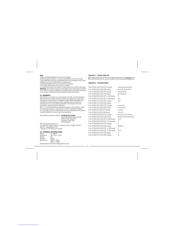**Note:**<br>a) Non-rechargeable batteries are not to be recharged.<br>b) Different types of batteries or new and used batteries are not to be mixed.<br>c) Only batteries to the same or equivalent type as recommended are to be used.<br>

e) Exhausted batteries are to be removed from the product.<br>1) The supply terminals are not to be short-circuited.<br>1I in doubt consult your local stockist or ring the help line for further information.<br>**Warning:** If this pr

**24. WARRANTY**<br>This product is covered by our 2-year warranty. To make use of the warranty or<br>after-sales service, please contact your retailer and supply proof of purchase.<br>Our warranty covers material or installation-rel manufacturer, with the exception of wear caused by failure to respect the instructions for use or any unauthorised work on the equipment (such as dismantling, exposure to heat or damp etc),<br>dismantling, exposure to heat or

Return/Warranty extension address: **Lexibook UK Limited**

Unit 10 Petersfield Industrial Estate Bedford Road, Petersfield Hampshire, GU32 3QA United Kingdom

Web: http://www.lexibook.com<br>For assistance, please contact our Freephone Help Line 0808 100 3015.<br>Web site : www.lexibook.co.uk<br>\* Damage to LCD display not included.

# **25. TECHNICAL SPECIFICATIONS**

Battery<br>Dimensions 1 x CR2032<br>105 x 76 x 11.5 mm Weight : 70g Warranty : 2 years Differencies<br>
Weight : 70g<br>
Warranty : 2 years<br>
Memory size : TM170 = 64KB TM171 = 512KB Specifications are subject to change without notice.

# **Appendix 1 – Symbol table list**

## **Appendix 2 – Accented letters**

Press [SYM] [ A/Á] (CAPS OFF) display á→à→ä→ǎ→ã→ã→ã→â→ã→ã<br>Press [SYM] [A/Á] (CAPS ON) display Á→À→Ä→Ă→Ã→Ã Press [SYM] [A/Á] (CAPS ON) display Press [SYM] [E/É] (CAPS OFF) display é→è→ë→ě→ê Press [SYM] [E/É] (CAPS ON) display  $E\rightarrow E\rightarrow E\rightarrow E\rightarrow E$ Press [SYM] [R/R] (CAPS OFF or ON) display Ř Press [SYM] [Z/Z] (CAPS OFF or ON) display  $\check{z} \rightarrow \check{z}$ <br>Press [SYM] [Y/Y] (CAPS OFF) display  $y \rightarrow \check{y}$ Press [SYM] [Y/Y] (CAPS OFF) display Press [SYM] [Y/Y] (CAPS ON) display Y Press [SYM] [U/Ü] (CAPS OFF) display Press [SYM] [U/Ü] (CAPS ON) display Ú‡Ù‡Ü‡Û Press [SYM] [I/í] (CAPS OFF) display í‡ì‡ï‡î Press [SYM] [I/í] (CAPS ON) display Í‡Ì‡Ï‡Î Press [SYM]  $[0/0]$  (CAPS OFF) display  $\theta \rightarrow 0 \rightarrow 0 \rightarrow 0 \rightarrow 0 \rightarrow 0 \rightarrow 0 \rightarrow 0$ <br>Press [SYM]  $[0/0]$  (CAPS ON) display  $\theta \rightarrow 0 \rightarrow 0 \rightarrow 0 \rightarrow 0 \rightarrow 0 \rightarrow 0$ Press [SYM] [O/Ó] (CAPS ON) display Ø→Ó<br>Press [SYM] [S/S] (CAPS OFF or ON) display Ś→Š Press [SYM] [S/S] (CAPS OFF or ON) display \$-<br>Press [SYM] [D/D] (CAPS OFF or ON) display D Press [SYM] [D/D] (CAPS OFF or ON) display Press [SYM] [N/N] (CAPS OFF) display n<br>Press [SYM] [N/N] (CAPS ON) display N→N→N Press [SYM] [N/N] (CAPS ON) display Press [SYM] [G/Ç] (CAPS OFF or ON) display C<br>Press [SYM] [C/C] (CAPS OFF or ON) display Č→Ć Press [SYM] [C/C] (CAPS OFF or ON) display Press [SYM] [P/P] (CAPS ON) display Press [SYM] [P/P] (CAPS OFF) display

h b